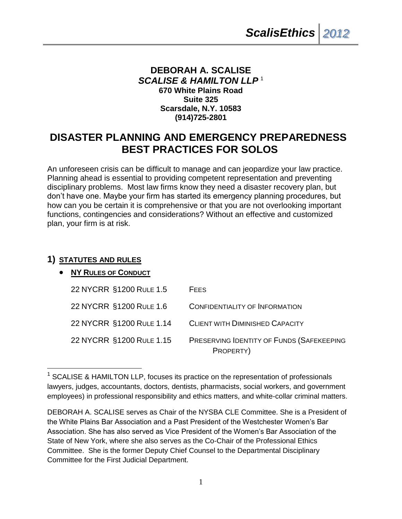# **DEBORAH A. SCALISE** *SCALISE & HAMILTON LLP* <sup>1</sup> **670 White Plains Road Suite 325 Scarsdale, N.Y. 10583 (914)725-2801**

# **DISASTER PLANNING AND EMERGENCY PREPAREDNESS BEST PRACTICES FOR SOLOS**

An unforeseen crisis can be difficult to manage and can jeopardize your law practice. Planning ahead is essential to providing competent representation and preventing disciplinary problems. Most law firms know they need a disaster recovery plan, but don't have one. Maybe your firm has started its emergency planning procedures, but how can you be certain it is comprehensive or that you are not overlooking important functions, contingencies and considerations? Without an effective and customized plan, your firm is at risk.

# **1) STATUTES AND RULES**

 $\overline{a}$ 

# **NY RULES OF CONDUCT**

| 22 NYCRR §1200 RULE 1.5  | <b>FEES</b>                                            |
|--------------------------|--------------------------------------------------------|
| 22 NYCRR §1200 RULE 1.6  | CONFIDENTIALITY OF INFORMATION                         |
| 22 NYCRR §1200 RULE 1.14 | <b>CLIENT WITH DIMINISHED CAPACITY</b>                 |
| 22 NYCRR §1200 RULE 1.15 | PRESERVING IDENTITY OF FUNDS (SAFEKEEPING<br>PROPERTY) |

<sup>&</sup>lt;sup>1</sup> SCALISE & HAMILTON LLP, focuses its practice on the representation of professionals lawyers, judges, accountants, doctors, dentists, pharmacists, social workers, and government employees) in professional responsibility and ethics matters, and white-collar criminal matters.

DEBORAH A. SCALISE serves as Chair of the NYSBA CLE Committee. She is a President of the White Plains Bar Association and a Past President of the Westchester Women's Bar Association. She has also served as Vice President of the Women's Bar Association of the State of New York, where she also serves as the Co-Chair of the Professional Ethics Committee. She is the former Deputy Chief Counsel to the Departmental Disciplinary Committee for the First Judicial Department.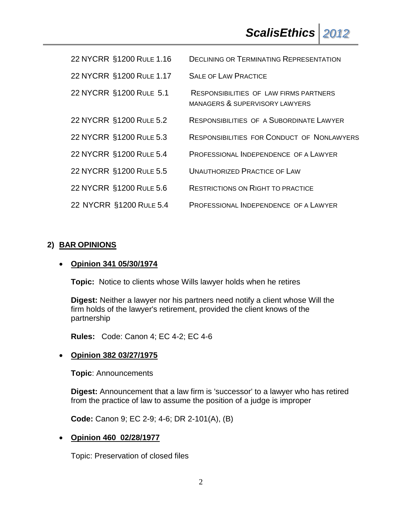| 22 NYCRR §1200 RULE 1.16 | <b>DECLINING OR TERMINATING REPRESENTATION</b>                           |
|--------------------------|--------------------------------------------------------------------------|
| 22 NYCRR §1200 RULE 1.17 | <b>SALE OF LAW PRACTICE</b>                                              |
| 22 NYCRR §1200 RULE 5.1  | RESPONSIBILITIES OF LAW FIRMS PARTNERS<br>MANAGERS & SUPERVISORY LAWYERS |
| 22 NYCRR §1200 RULE 5.2  | <b>RESPONSIBILITIES OF A SUBORDINATE LAWYER</b>                          |
| 22 NYCRR §1200 RULE 5.3  | RESPONSIBILITIES FOR CONDUCT OF NONLAWYERS                               |
| 22 NYCRR §1200 RULE 5.4  | PROFESSIONAL INDEPENDENCE OF A LAWYER                                    |
| 22 NYCRR §1200 RULE 5.5  | <b>UNAUTHORIZED PRACTICE OF LAW</b>                                      |
| 22 NYCRR §1200 RULE 5.6  | <b>RESTRICTIONS ON RIGHT TO PRACTICE</b>                                 |
| 22 NYCRR §1200 RULE 5.4  | PROFESSIONAL INDEPENDENCE OF A LAWYER                                    |

# **2) BAR OPINIONS**

# **Opinion 341 05/30/1974**

**Topic:** Notice to clients whose Wills lawyer holds when he retires

**Digest:** Neither a lawyer nor his partners need notify a client whose Will the firm holds of the lawyer's retirement, provided the client knows of the partnership

**Rules:** Code: Canon 4; EC 4-2; EC 4-6

## **Opinion 382 03/27/1975**

**Topic**: Announcements

**Digest:** Announcement that a law firm is 'successor' to a lawyer who has retired from the practice of law to assume the position of a judge is improper

**Code:** Canon 9; EC 2-9; 4-6; DR 2-101(A), (B)

## **Opinion 460 02/28/1977**

Topic: Preservation of closed files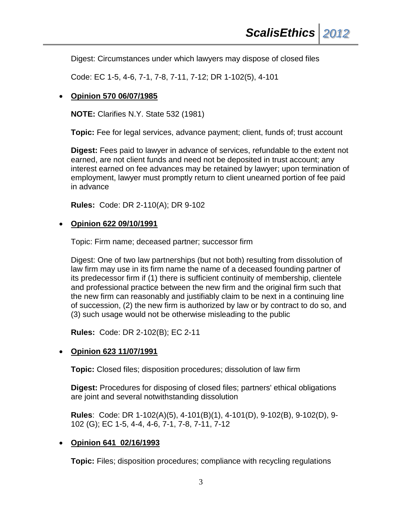Digest: Circumstances under which lawyers may dispose of closed files

Code: EC 1-5, 4-6, 7-1, 7-8, 7-11, 7-12; DR 1-102(5), 4-101

#### **Opinion 570 06/07/1985**

**NOTE:** Clarifies N.Y. State 532 (1981)

**Topic:** Fee for legal services, advance payment; client, funds of; trust account

**Digest:** Fees paid to lawyer in advance of services, refundable to the extent not earned, are not client funds and need not be deposited in trust account; any interest earned on fee advances may be retained by lawyer; upon termination of employment, lawyer must promptly return to client unearned portion of fee paid in advance

**Rules:** Code: DR 2-110(A); DR 9-102

#### **Opinion 622 09/10/1991**

Topic: Firm name; deceased partner; successor firm

Digest: One of two law partnerships (but not both) resulting from dissolution of law firm may use in its firm name the name of a deceased founding partner of its predecessor firm if (1) there is sufficient continuity of membership, clientele and professional practice between the new firm and the original firm such that the new firm can reasonably and justifiably claim to be next in a continuing line of succession, (2) the new firm is authorized by law or by contract to do so, and (3) such usage would not be otherwise misleading to the public

**Rules:** Code: DR 2-102(B); EC 2-11

## **Opinion 623 11/07/1991**

**Topic:** Closed files; disposition procedures; dissolution of law firm

**Digest:** Procedures for disposing of closed files; partners' ethical obligations are joint and several notwithstanding dissolution

**Rules**: Code: DR 1-102(A)(5), 4-101(B)(1), 4-101(D), 9-102(B), 9-102(D), 9- 102 (G); EC 1-5, 4-4, 4-6, 7-1, 7-8, 7-11, 7-12

## **Opinion 641 02/16/1993**

**Topic:** Files; disposition procedures; compliance with recycling regulations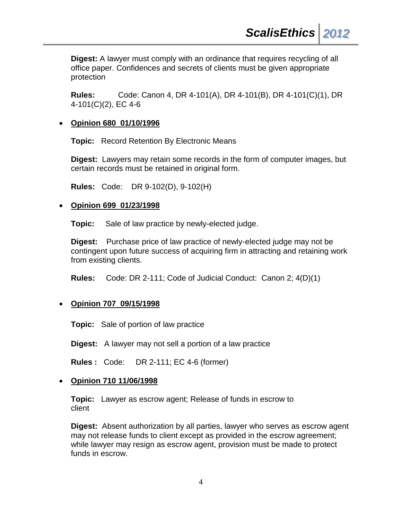**Digest:** A lawyer must comply with an ordinance that requires recycling of all office paper. Confidences and secrets of clients must be given appropriate protection

**Rules:** Code: Canon 4, DR 4-101(A), DR 4-101(B), DR 4-101(C)(1), DR 4-101(C)(2), EC 4-6

#### **Opinion 680 01/10/1996**

**Topic:** Record Retention By Electronic Means

**Digest:** Lawyers may retain some records in the form of computer images, but certain records must be retained in original form.

**Rules:** Code: DR 9-102(D), 9-102(H)

#### **Opinion 699 01/23/1998**

**Topic:** Sale of law practice by newly-elected judge.

**Digest:** Purchase price of law practice of newly-elected judge may not be contingent upon future success of acquiring firm in attracting and retaining work from existing clients.

**Rules:** Code: DR 2-111; Code of Judicial Conduct: Canon 2; 4(D)(1)

## **Opinion 707 09/15/1998**

**Topic:** Sale of portion of law practice

**Digest:** A lawyer may not sell a portion of a law practice

**Rules :** Code: DR 2-111; EC 4-6 (former)

#### **Opinion 710 11/06/1998**

**Topic:** Lawyer as escrow agent; Release of funds in escrow to client

**Digest:** Absent authorization by all parties, lawyer who serves as escrow agent may not release funds to client except as provided in the escrow agreement; while lawyer may resign as escrow agent, provision must be made to protect funds in escrow.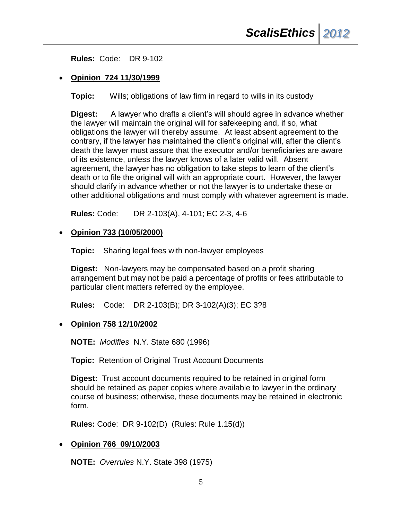**Rules:** Code: DR 9-102

#### **Opinion 724 11/30/1999**

**Topic:** Wills; obligations of law firm in regard to wills in its custody

**Digest:** A lawyer who drafts a client's will should agree in advance whether the lawyer will maintain the original will for safekeeping and, if so, what obligations the lawyer will thereby assume. At least absent agreement to the contrary, if the lawyer has maintained the client's original will, after the client's death the lawyer must assure that the executor and/or beneficiaries are aware of its existence, unless the lawyer knows of a later valid will. Absent agreement, the lawyer has no obligation to take steps to learn of the client's death or to file the original will with an appropriate court. However, the lawyer should clarify in advance whether or not the lawyer is to undertake these or other additional obligations and must comply with whatever agreement is made.

**Rules:** Code: DR 2-103(A), 4-101; EC 2-3, 4-6

#### **Opinion 733 (10/05/2000)**

**Topic:** Sharing legal fees with non-lawyer employees

**Digest:** Non-lawyers may be compensated based on a profit sharing arrangement but may not be paid a percentage of profits or fees attributable to particular client matters referred by the employee.

**Rules:** Code: DR 2-103(B); DR 3-102(A)(3); EC 3?8

#### **Opinion 758 12/10/2002**

**NOTE:** *Modifies* N.Y. State 680 (1996)

**Topic:** Retention of Original Trust Account Documents

**Digest:** Trust account documents required to be retained in original form should be retained as paper copies where available to lawyer in the ordinary course of business; otherwise, these documents may be retained in electronic form.

**Rules:** Code: DR 9-102(D) (Rules: Rule 1.15(d))

## **Opinion 766 09/10/2003**

**NOTE:** *Overrules* N.Y. State 398 (1975)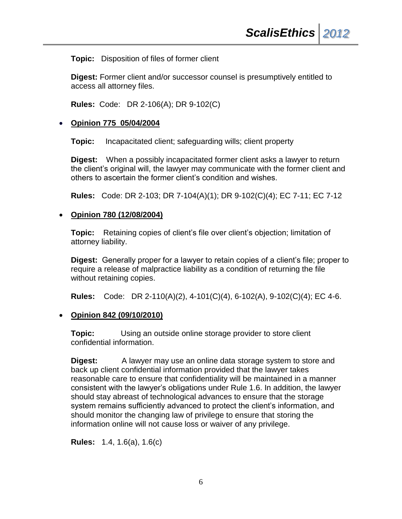**Topic:** Disposition of files of former client

**Digest:** Former client and/or successor counsel is presumptively entitled to access all attorney files.

**Rules:** Code: DR 2-106(A); DR 9-102(C)

## **Opinion 775 05/04/2004**

**Topic:** Incapacitated client; safeguarding wills; client property

**Digest:** When a possibly incapacitated former client asks a lawyer to return the client's original will, the lawyer may communicate with the former client and others to ascertain the former client's condition and wishes.

**Rules:** Code: DR 2-103; DR 7-104(A)(1); DR 9-102(C)(4); EC 7-11; EC 7-12

#### **Opinion 780 (12/08/2004)**

**Topic:** Retaining copies of client's file over client's objection; limitation of attorney liability.

**Digest:** Generally proper for a lawyer to retain copies of a client's file; proper to require a release of malpractice liability as a condition of returning the file without retaining copies.

**Rules:** Code: DR 2-110(A)(2), 4-101(C)(4), 6-102(A), 9-102(C)(4); EC 4-6.

#### **Opinion 842 (09/10/2010)**

**Topic:** Using an outside online storage provider to store client confidential information.

**Digest:** A lawyer may use an online data storage system to store and back up client confidential information provided that the lawyer takes reasonable care to ensure that confidentiality will be maintained in a manner consistent with the lawyer's obligations under Rule 1.6. In addition, the lawyer should stay abreast of technological advances to ensure that the storage system remains sufficiently advanced to protect the client's information, and should monitor the changing law of privilege to ensure that storing the information online will not cause loss or waiver of any privilege.

**Rules:** 1.4, 1.6(a), 1.6(c)